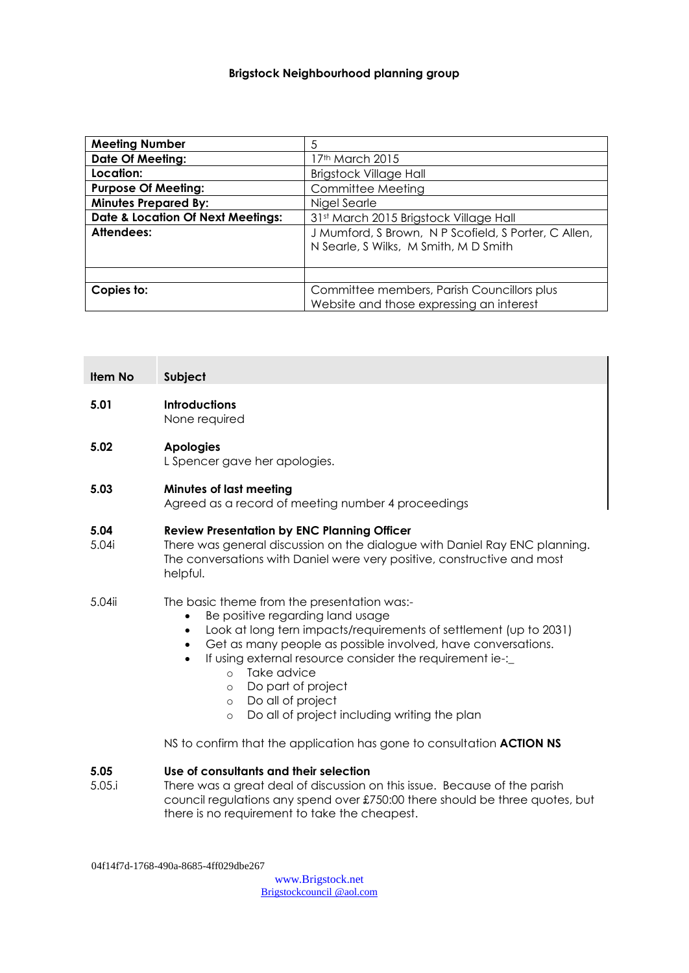## **Brigstock Neighbourhood planning group**

| <b>Meeting Number</b>                        | 5                                                                                             |
|----------------------------------------------|-----------------------------------------------------------------------------------------------|
| <b>Date Of Meeting:</b>                      | 17th March 2015                                                                               |
| Location:                                    | <b>Brigstock Village Hall</b>                                                                 |
| <b>Purpose Of Meeting:</b>                   | Committee Meeting                                                                             |
| <b>Minutes Prepared By:</b>                  | Nigel Searle                                                                                  |
| <b>Date &amp; Location Of Next Meetings:</b> | 31st March 2015 Brigstock Village Hall                                                        |
| Attendees:                                   | J Mumford, S Brown, N P Scofield, S Porter, C Allen,<br>N Searle, S Wilks, M Smith, M D Smith |
|                                              |                                                                                               |
| Copies to:                                   | Committee members, Parish Councillors plus<br>Website and those expressing an interest        |

| Item No        | Subject                                                                                                                                                                                                                                                                                                                                                                                                                                                                                     |  |
|----------------|---------------------------------------------------------------------------------------------------------------------------------------------------------------------------------------------------------------------------------------------------------------------------------------------------------------------------------------------------------------------------------------------------------------------------------------------------------------------------------------------|--|
| 5.01           | <b>Introductions</b><br>None required                                                                                                                                                                                                                                                                                                                                                                                                                                                       |  |
| 5.02           | <b>Apologies</b><br>L Spencer gave her apologies.                                                                                                                                                                                                                                                                                                                                                                                                                                           |  |
| 5.03           | Minutes of last meeting<br>Agreed as a record of meeting number 4 proceedings                                                                                                                                                                                                                                                                                                                                                                                                               |  |
| 5.04<br>5.04i  | <b>Review Presentation by ENC Planning Officer</b><br>There was general discussion on the dialogue with Daniel Ray ENC planning.<br>The conversations with Daniel were very positive, constructive and most<br>helpful.                                                                                                                                                                                                                                                                     |  |
| 5.04ii         | The basic theme from the presentation was:-<br>Be positive regarding land usage<br>$\bullet$<br>Look at long tern impacts/requirements of settlement (up to 2031)<br>$\bullet$<br>Get as many people as possible involved, have conversations.<br>$\bullet$<br>If using external resource consider the requirement ie-:_<br>$\bullet$<br>Take advice<br>$\circ$<br>Do part of project<br>$\circ$<br>Do all of project<br>$\circ$<br>Do all of project including writing the plan<br>$\circ$ |  |
|                | NS to confirm that the application has gone to consultation <b>ACTION NS</b>                                                                                                                                                                                                                                                                                                                                                                                                                |  |
| 5.05<br>5.05.i | Use of consultants and their selection<br>There was a great deal of discussion on this issue. Because of the parish                                                                                                                                                                                                                                                                                                                                                                         |  |

council regulations any spend over £750:00 there should be three quotes, but there is no requirement to take the cheapest.

04f14f7d-1768-490a-8685-4ff029dbe267

[www.Brigstock.net](http://www.brigstock.net/) Brigstockcouncil @aol.com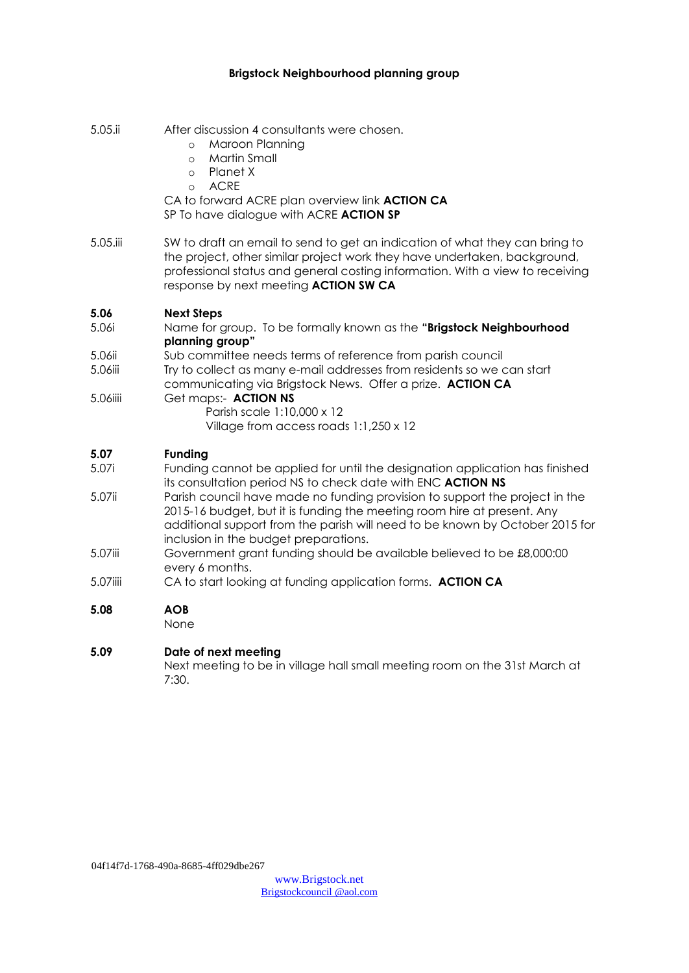## **Brigstock Neighbourhood planning group**

| 5.05.ii  | After discussion 4 consultants were chosen.<br>Maroon Planning<br>$\circ$<br>Martin Small<br>$\circ$<br>Planet X<br>$\circ$<br><b>ACRE</b><br>$\circ$<br>CA to forward ACRE plan overview link <b>ACTION CA</b><br>SP To have dialogue with ACRE ACTION SP                         |
|----------|------------------------------------------------------------------------------------------------------------------------------------------------------------------------------------------------------------------------------------------------------------------------------------|
| 5.05.iii | SW to draft an email to send to get an indication of what they can bring to<br>the project, other similar project work they have undertaken, background,<br>professional status and general costing information. With a view to receiving<br>response by next meeting ACTION SW CA |
| 5.06     | <b>Next Steps</b>                                                                                                                                                                                                                                                                  |
| 5.06i    | Name for group. To be formally known as the "Brigstock Neighbourhood<br>planning group"                                                                                                                                                                                            |
| 5.06ii   | Sub committee needs terms of reference from parish council                                                                                                                                                                                                                         |
| 5.06iii  | Try to collect as many e-mail addresses from residents so we can start<br>communicating via Brigstock News. Offer a prize. ACTION CA                                                                                                                                               |
| 5.06iiii | Get maps:- ACTION NS<br>Parish scale 1:10,000 x 12<br>Village from access roads 1:1,250 x 12                                                                                                                                                                                       |
| 5.07     | <b>Funding</b>                                                                                                                                                                                                                                                                     |
| 5.07i    | Funding cannot be applied for until the designation application has finished<br>its consultation period NS to check date with ENC ACTION NS                                                                                                                                        |
| 5.07ii   | Parish council have made no funding provision to support the project in the<br>2015-16 budget, but it is funding the meeting room hire at present. Any<br>additional support from the parish will need to be known by October 2015 for<br>inclusion in the budget preparations.    |
| 5.07iii  | Government grant funding should be available believed to be £8,000:00<br>every 6 months.                                                                                                                                                                                           |
| 5.07iiii | CA to start looking at funding application forms. ACTION CA                                                                                                                                                                                                                        |
| 5.08     | <b>AOB</b><br>None                                                                                                                                                                                                                                                                 |
| 5.09     | Date of next meeting<br>Next meeting to be in village hall small meeting room on the 31st March at<br>7:30.                                                                                                                                                                        |

04f14f7d-1768-490a-8685-4ff029dbe267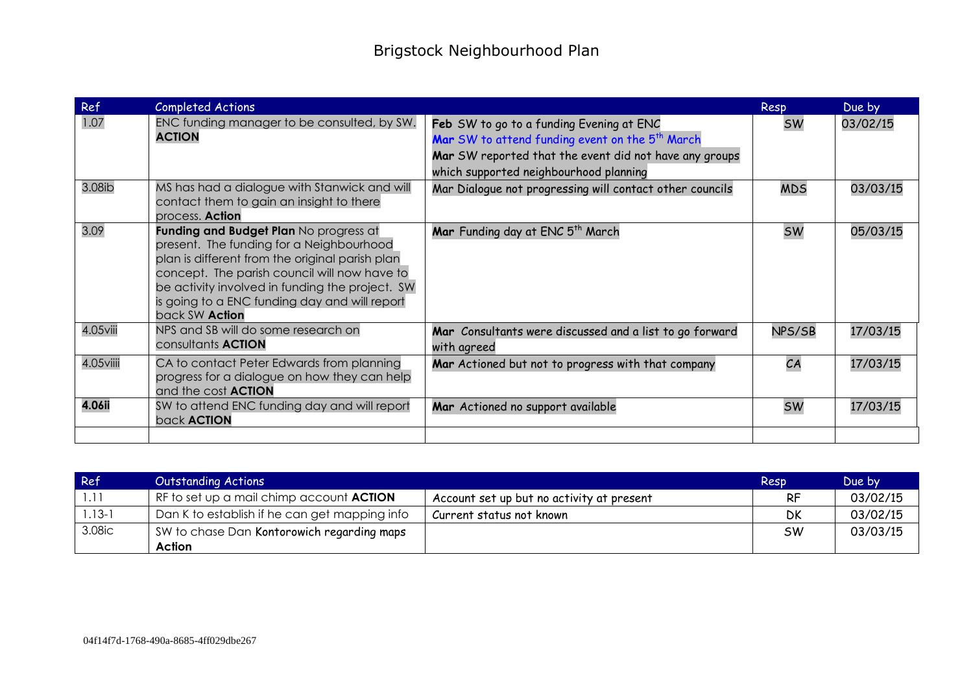| Ref           | Completed Actions                                                                                                                                                                                                                                                                                           |                                                                                                                                                                                                             | Resp       | Due by   |
|---------------|-------------------------------------------------------------------------------------------------------------------------------------------------------------------------------------------------------------------------------------------------------------------------------------------------------------|-------------------------------------------------------------------------------------------------------------------------------------------------------------------------------------------------------------|------------|----------|
| 1.07          | ENC funding manager to be consulted, by SW.<br><b>ACTION</b>                                                                                                                                                                                                                                                | Feb SW to go to a funding Evening at ENC<br>Mar SW to attend funding event on the 5 <sup>th</sup> March<br>Mar SW reported that the event did not have any groups<br>which supported neighbourhood planning | <b>SW</b>  | 03/02/15 |
| 3.08ib        | MS has had a dialogue with Stanwick and will<br>contact them to gain an insight to there<br>process. <b>Action</b>                                                                                                                                                                                          | Mar Dialogue not progressing will contact other councils                                                                                                                                                    | <b>MDS</b> | 03/03/15 |
| 3.09          | Funding and Budget Plan No progress at<br>present. The funding for a Neighbourhood<br>plan is different from the original parish plan<br>concept. The parish council will now have to<br>be activity involved in funding the project. SW<br>is going to a ENC funding day and will report<br>back SW Action | Mar Funding day at ENC 5 <sup>th</sup> March                                                                                                                                                                | <b>SW</b>  | 05/03/15 |
| $4.05$ viii   | NPS and SB will do some research on<br>consultants <b>ACTION</b>                                                                                                                                                                                                                                            | Mar Consultants were discussed and a list to go forward<br>with agreed                                                                                                                                      | NPS/SB     | 17/03/15 |
| 4.05viiii     | CA to contact Peter Edwards from planning<br>progress for a dialogue on how they can help<br>and the cost <b>ACTION</b>                                                                                                                                                                                     | Mar Actioned but not to progress with that company                                                                                                                                                          | CA         | 17/03/15 |
| <b>4.06ii</b> | SW to attend ENC funding day and will report<br>back <b>ACTION</b>                                                                                                                                                                                                                                          | Mar Actioned no support available                                                                                                                                                                           | <b>SW</b>  | 17/03/15 |
|               |                                                                                                                                                                                                                                                                                                             |                                                                                                                                                                                                             |            |          |

| Ref        | <b>Outstanding Actions</b>                      |                                           | Resp      | Due by   |
|------------|-------------------------------------------------|-------------------------------------------|-----------|----------|
|            | RF to set up a mail chimp account <b>ACTION</b> | Account set up but no activity at present | RF        | 03/02/15 |
| $1.13 - 1$ | Dan K to establish if he can get mapping info   | Current status not known                  | <b>DK</b> | 03/02/15 |
| 3.08ic     | SW to chase Dan Kontorowich regarding maps      |                                           | <b>SW</b> | 03/03/15 |
|            | Action                                          |                                           |           |          |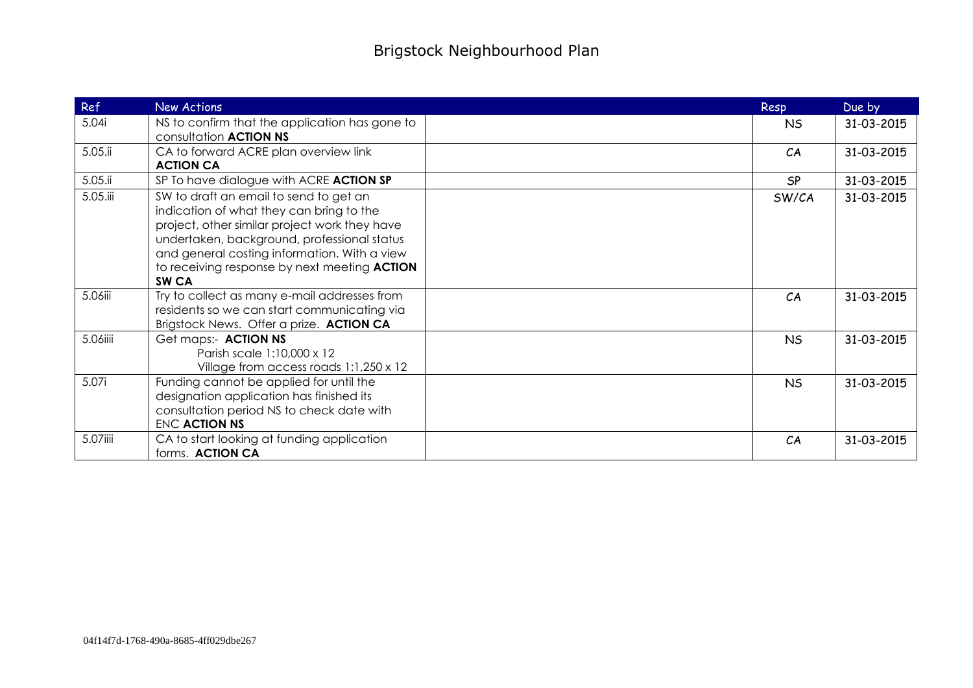| <b>Ref</b> | New Actions                                                                                                                                                                                                                                                                                            | Resp      | Due by     |
|------------|--------------------------------------------------------------------------------------------------------------------------------------------------------------------------------------------------------------------------------------------------------------------------------------------------------|-----------|------------|
| 5.04i      | NS to confirm that the application has gone to<br>consultation <b>ACTION NS</b>                                                                                                                                                                                                                        | <b>NS</b> | 31-03-2015 |
| 5.05.ii    | CA to forward ACRE plan overview link<br><b>ACTION CA</b>                                                                                                                                                                                                                                              | CA        | 31-03-2015 |
| $5.05$ .ii | SP To have dialogue with ACRE ACTION SP                                                                                                                                                                                                                                                                | <b>SP</b> | 31-03-2015 |
| 5.05.iii   | SW to draft an email to send to get an<br>indication of what they can bring to the<br>project, other similar project work they have<br>undertaken, background, professional status<br>and general costing information. With a view<br>to receiving response by next meeting ACTION<br>SW <sub>CA</sub> | SW/CA     | 31-03-2015 |
| 5.06iii    | Try to collect as many e-mail addresses from<br>residents so we can start communicating via<br>Brigstock News. Offer a prize. ACTION CA                                                                                                                                                                | CA        | 31-03-2015 |
| 5.06iiii   | Get maps:- ACTION NS<br>Parish scale 1:10,000 x 12<br>Village from access roads 1:1,250 x 12                                                                                                                                                                                                           | <b>NS</b> | 31-03-2015 |
| 5.07i      | Funding cannot be applied for until the<br>designation application has finished its<br>consultation period NS to check date with<br>ENC ACTION NS                                                                                                                                                      | <b>NS</b> | 31-03-2015 |
| 5.07iiii   | CA to start looking at funding application<br>forms. ACTION CA                                                                                                                                                                                                                                         | CA        | 31-03-2015 |